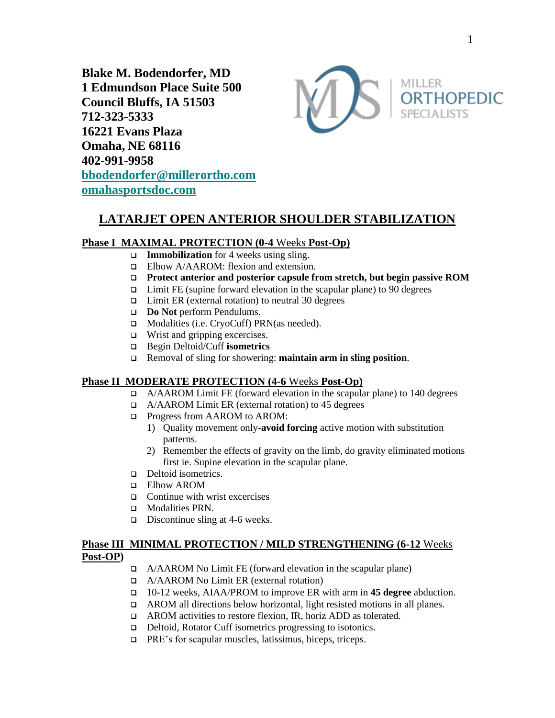**Blake M. Bodendorfer, MD 1 Edmundson Place Suite 500 Council Bluffs, IA 51503 712-323-5333 16221 Evans Plaza Omaha, NE 68116 402-991-9958 [bbodendorfer@millerortho.com](mailto:bbodendorfer@millerortho.com) [omahasportsdoc.com](http://www.omahasportsdoc.com/)**



# **LATARJET OPEN ANTERIOR SHOULDER STABILIZATION**

## **Phase I MAXIMAL PROTECTION (0-4** Weeks **Post-Op)**

- ❑ **Immobilization** for 4 weeks using sling.
- ❑ Elbow A/AAROM: flexion and extension.
- ❑ **Protect anterior and posterior capsule from stretch, but begin passive ROM**
- ❑ Limit FE (supine forward elevation in the scapular plane) to 90 degrees
- ❑ Limit ER (external rotation) to neutral 30 degrees
- ❑ **Do Not** perform Pendulums.
- ❑ Modalities (i.e. CryoCuff) PRN(as needed).
- ❑ Wrist and gripping excercises.
- ❑ Begin Deltoid/Cuff **isometrics**
- ❑ Removal of sling for showering: **maintain arm in sling position**.

## **Phase II MODERATE PROTECTION (4-6** Weeks **Post-Op)**

- ❑ A/AAROM Limit FE (forward elevation in the scapular plane) to 140 degrees
- ❑ A/AAROM Limit ER (external rotation) to 45 degrees
- ❑ Progress from AAROM to AROM:
	- 1) Quality movement only-**avoid forcing** active motion with substitution patterns.
	- 2) Remember the effects of gravity on the limb, do gravity eliminated motions first ie. Supine elevation in the scapular plane.
- ❑ Deltoid isometrics.
- ❑ Elbow AROM
- ❑ Continue with wrist excercises
- ❑ Modalities PRN.
- ❑ Discontinue sling at 4-6 weeks.

## **Phase III MINIMAL PROTECTION / MILD STRENGTHENING (6-12** Weeks **Post-OP)**

- ❑ A/AAROM No Limit FE (forward elevation in the scapular plane)
- ❑ A/AAROM No Limit ER (external rotation)
- ❑ 10-12 weeks, AIAA/PROM to improve ER with arm in **45 degree** abduction.
- ❑ AROM all directions below horizontal, light resisted motions in all planes.
- ❑ AROM activities to restore flexion, IR, horiz ADD as tolerated.
- ❑ Deltoid, Rotator Cuff isometrics progressing to isotonics.
- ❑ PRE's for scapular muscles, latissimus, biceps, triceps.